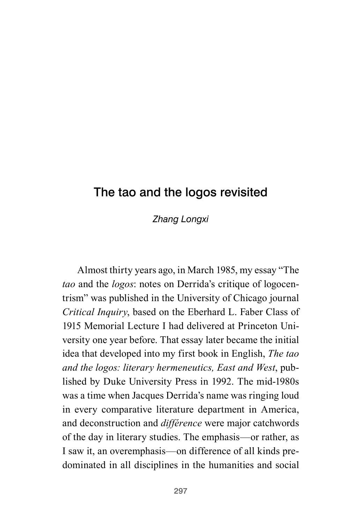# The tao and the logos revisited

*Zhang Longxi*

Almost thirty years ago, in March 1985, my essay "The *tao* and the *logos*: notes on Derrida's critique of logocentrism" was published in the University of Chicago journal *Critical Inquiry*, based on the Eberhard L. Faber Class of 1915 Memorial Lecture I had delivered at Princeton University one year before. That essay later became the initial idea that developed into my first book in English, *The tao and the logos: literary hermeneutics, East and West*, published by Duke University Press in 1992. The mid-1980s was a time when Jacques Derrida's name was ringing loud in every comparative literature department in America, and deconstruction and *différence* were major catchwords of the day in literary studies. The emphasis—or rather, as I saw it, an overemphasis—on difference of all kinds predominated in all disciplines in the humanities and social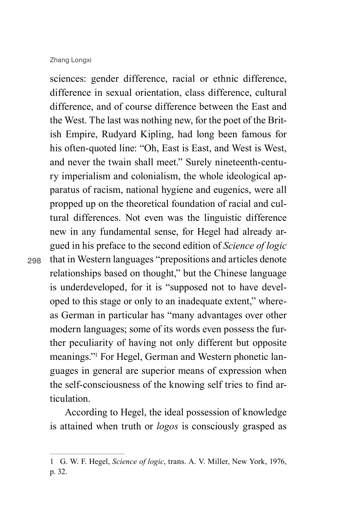sciences: gender difference, racial or ethnic difference, difference in sexual orientation, class difference, cultural difference, and of course difference between the East and the West. The last was nothing new, for the poet of the British Empire, Rudyard Kipling, had long been famous for his often-quoted line: "Oh, East is East, and West is West, and never the twain shall meet." Surely nineteenth-century imperialism and colonialism, the whole ideological apparatus of racism, national hygiene and eugenics, were all propped up on the theoretical foundation of racial and cultural differences. Not even was the linguistic difference new in any fundamental sense, for Hegel had already argued in his preface to the second edition of *Science of logic* that in Western languages "prepositions and articles denote relationships based on thought," but the Chinese language is underdeveloped, for it is "supposed not to have developed to this stage or only to an inadequate extent," whereas German in particular has "many advantages over other modern languages; some of its words even possess the further peculiarity of having not only different but opposite meanings."1 For Hegel, German and Western phonetic languages in general are superior means of expression when the self-consciousness of the knowing self tries to find articulation.

According to Hegel, the ideal possession of knowledge is attained when truth or *logos* is consciously grasped as

<sup>1</sup> G. W. F. Hegel, *Science of logic*, trans. A. V. Miller, New York, 1976, p. 32.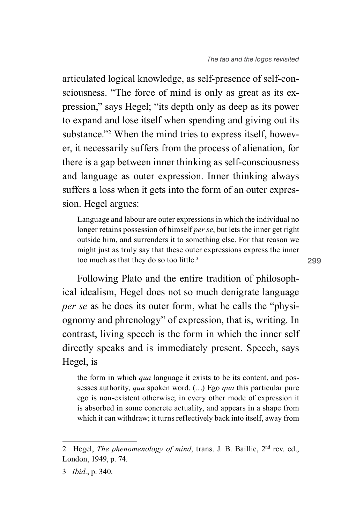articulated logical knowledge, as self-presence of self-consciousness. "The force of mind is only as great as its expression," says Hegel; "its depth only as deep as its power to expand and lose itself when spending and giving out its substance."<sup>2</sup> When the mind tries to express itself, however, it necessarily suffers from the process of alienation, for there is a gap between inner thinking as self-consciousness and language as outer expression. Inner thinking always suffers a loss when it gets into the form of an outer expression. Hegel argues:

Language and labour are outer expressions in which the individual no longer retains possession of himself *per se*, but lets the inner get right outside him, and surrenders it to something else. For that reason we might just as truly say that these outer expressions express the inner too much as that they do so too little.<sup>3</sup>

Following Plato and the entire tradition of philosophical idealism, Hegel does not so much denigrate language *per se* as he does its outer form, what he calls the "physiognomy and phrenology" of expression, that is, writing. In contrast, living speech is the form in which the inner self directly speaks and is immediately present. Speech, says Hegel, is

the form in which *qua* language it exists to be its content, and possesses authority, *qua* spoken word. (…) Ego *qua* this particular pure ego is non-existent otherwise; in every other mode of expression it is absorbed in some concrete actuality, and appears in a shape from which it can withdraw; it turns reflectively back into itself, away from

<sup>2</sup> Hegel, *The phenomenology of mind*, trans. J. B. Baillie, 2nd rev. ed., London, 1949, p. 74.

<sup>3</sup> *Ibid.*, p. 340.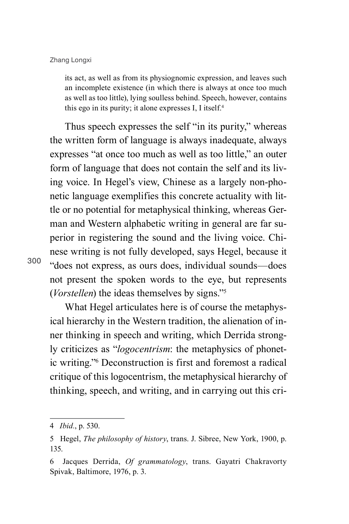its act, as well as from its physiognomic expression, and leaves such an incomplete existence (in which there is always at once too much as well as too little), lying soulless behind. Speech, however, contains this ego in its purity; it alone expresses I, I itself.4

Thus speech expresses the self "in its purity," whereas the written form of language is always inadequate, always expresses "at once too much as well as too little," an outer form of language that does not contain the self and its living voice. In Hegel's view, Chinese as a largely non-phonetic language exemplifies this concrete actuality with little or no potential for metaphysical thinking, whereas German and Western alphabetic writing in general are far superior in registering the sound and the living voice. Chinese writing is not fully developed, says Hegel, because it "does not express, as ours does, individual sounds—does not present the spoken words to the eye, but represents (*Vorstellen*) the ideas themselves by signs."5

What Hegel articulates here is of course the metaphysical hierarchy in the Western tradition, the alienation of inner thinking in speech and writing, which Derrida strongly criticizes as "*logocentrism*: the metaphysics of phonetic writing."6 Deconstruction is first and foremost a radical critique of this logocentrism, the metaphysical hierarchy of thinking, speech, and writing, and in carrying out this cri-

<sup>4</sup> *Ibid.*, p. 530.

<sup>5</sup> Hegel, *The philosophy of history*, trans. J. Sibree, New York, 1900, p. 135.

<sup>6</sup> Jacques Derrida, *Of grammatology*, trans. Gayatri Chakravorty Spivak, Baltimore, 1976, p. 3.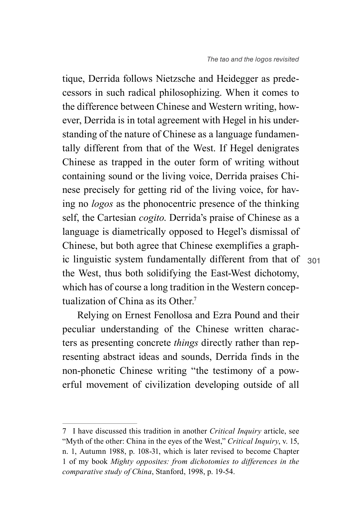ic linguistic system fundamentally different from that of 301 tique, Derrida follows Nietzsche and Heidegger as predecessors in such radical philosophizing. When it comes to the difference between Chinese and Western writing, however, Derrida is in total agreement with Hegel in his understanding of the nature of Chinese as a language fundamentally different from that of the West. If Hegel denigrates Chinese as trapped in the outer form of writing without containing sound or the living voice, Derrida praises Chinese precisely for getting rid of the living voice, for having no *logos* as the phonocentric presence of the thinking self, the Cartesian *cogito*. Derrida's praise of Chinese as a language is diametrically opposed to Hegel's dismissal of Chinese, but both agree that Chinese exemplifies a graphthe West, thus both solidifying the East-West dichotomy, which has of course a long tradition in the Western conceptualization of China as its Other<sup>7</sup>

Relying on Ernest Fenollosa and Ezra Pound and their peculiar understanding of the Chinese written characters as presenting concrete *things* directly rather than representing abstract ideas and sounds, Derrida finds in the non-phonetic Chinese writing "the testimony of a powerful movement of civilization developing outside of all

<sup>7</sup> I have discussed this tradition in another *Critical Inquiry* article, see "Myth of the other: China in the eyes of the West," *Critical Inquiry*, v. 15, n. 1, Autumn 1988, p. 108-31, which is later revised to become Chapter 1 of my book *Mighty opposites: from dichotomies to differences in the comparative study of China*, Stanford, 1998, p. 19-54.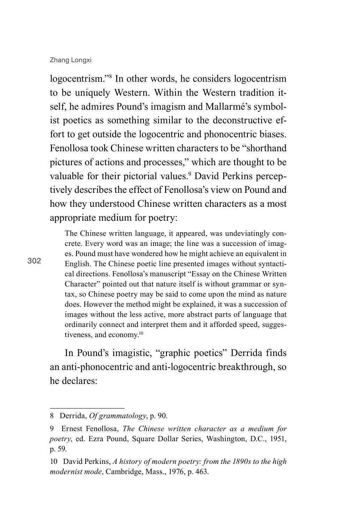logocentrism."8 In other words, he considers logocentrism to be uniquely Western. Within the Western tradition itself, he admires Pound's imagism and Mallarmé's symbolist poetics as something similar to the deconstructive effort to get outside the logocentric and phonocentric biases. Fenollosa took Chinese written characters to be "shorthand pictures of actions and processes," which are thought to be valuable for their pictorial values.<sup>9</sup> David Perkins perceptively describes the effect of Fenollosa's view on Pound and how they understood Chinese written characters as a most appropriate medium for poetry:

The Chinese written language, it appeared, was undeviatingly concrete. Every word was an image; the line was a succession of images. Pound must have wondered how he might achieve an equivalent in English. The Chinese poetic line presented images without syntactical directions. Fenollosa's manuscript "Essay on the Chinese Written Character" pointed out that nature itself is without grammar or syntax, so Chinese poetry may be said to come upon the mind as nature does. However the method might be explained, it was a succession of images without the less active, more abstract parts of language that ordinarily connect and interpret them and it afforded speed, suggestiveness, and economy.10

In Pound's imagistic, "graphic poetics" Derrida finds an anti-phonocentric and anti-logocentric breakthrough, so he declares:

<sup>8</sup> Derrida, *Of grammatology*, p. 90.

<sup>9</sup> Ernest Fenollosa, *The Chinese written character as a medium for poetry*, ed. Ezra Pound, Square Dollar Series, Washington, D.C., 1951, p. 59.

<sup>10</sup> David Perkins, *A history of modern poetry: from the 1890s to the high modernist mode*, Cambridge, Mass., 1976, p. 463.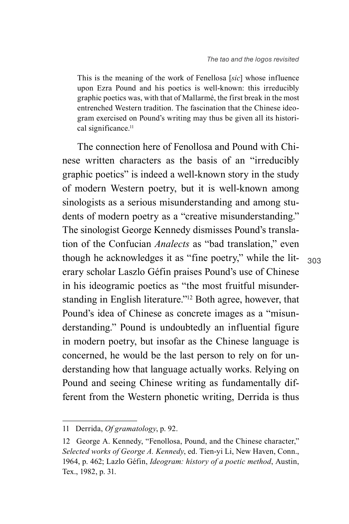This is the meaning of the work of Fenellosa [*sic*] whose influence upon Ezra Pound and his poetics is well-known: this irreducibly graphic poetics was, with that of Mallarmé, the first break in the most entrenched Western tradition. The fascination that the Chinese ideogram exercised on Pound's writing may thus be given all its historical significance.<sup>11</sup>

The connection here of Fenollosa and Pound with Chinese written characters as the basis of an "irreducibly graphic poetics" is indeed a well-known story in the study of modern Western poetry, but it is well-known among sinologists as a serious misunderstanding and among students of modern poetry as a "creative misunderstanding." The sinologist George Kennedy dismisses Pound's translation of the Confucian *Analects* as "bad translation," even though he acknowledges it as "fine poetry," while the literary scholar Laszlo Géfin praises Pound's use of Chinese in his ideogramic poetics as "the most fruitful misunderstanding in English literature."12 Both agree, however, that Pound's idea of Chinese as concrete images as a "misunderstanding." Pound is undoubtedly an influential figure in modern poetry, but insofar as the Chinese language is concerned, he would be the last person to rely on for understanding how that language actually works. Relying on Pound and seeing Chinese writing as fundamentally different from the Western phonetic writing, Derrida is thus

<sup>11</sup> Derrida, *Of gramatology*, p. 92.

<sup>12</sup> George A. Kennedy, "Fenollosa, Pound, and the Chinese character," *Selected works of George A. Kennedy*, ed. Tien-yi Li, New Haven, Conn., 1964, p. 462; Lazlo Géfin, *Ideogram: history of a poetic method*, Austin, Tex., 1982, p. 31.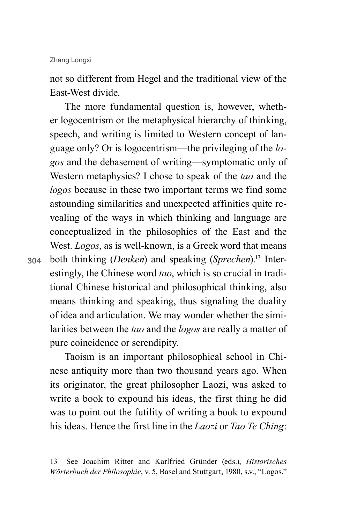not so different from Hegel and the traditional view of the East-West divide.

The more fundamental question is, however, whether logocentrism or the metaphysical hierarchy of thinking, speech, and writing is limited to Western concept of language only? Or is logocentrism—the privileging of the *logos* and the debasement of writing—symptomatic only of Western metaphysics? I chose to speak of the *tao* and the *logos* because in these two important terms we find some astounding similarities and unexpected affinities quite revealing of the ways in which thinking and language are conceptualized in the philosophies of the East and the West. *Logos*, as is well-known, is a Greek word that means both thinking (*Denken*) and speaking (*Sprechen*).13 Interestingly, the Chinese word *tao*, which is so crucial in traditional Chinese historical and philosophical thinking, also means thinking and speaking, thus signaling the duality of idea and articulation. We may wonder whether the similarities between the *tao* and the *logos* are really a matter of pure coincidence or serendipity.

Taoism is an important philosophical school in Chinese antiquity more than two thousand years ago. When its originator, the great philosopher Laozi, was asked to write a book to expound his ideas, the first thing he did was to point out the futility of writing a book to expound his ideas. Hence the first line in the *Laozi* or *Tao Te Ching*:

<sup>13</sup> See Joachim Ritter and Karlfried Gründer (eds.), *Historisches Wörterbuch der Philosophie*, v. 5, Basel and Stuttgart, 1980, s.v., "Logos."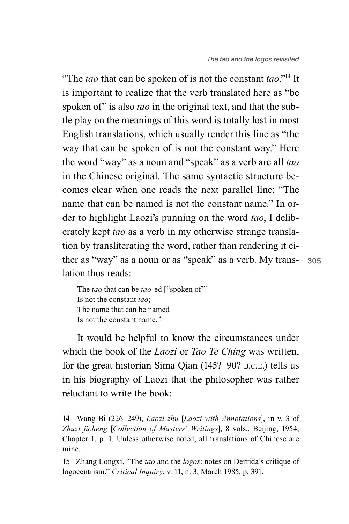ther as "way" as a noun or as "speak" as a verb. My trans- 305 "The *tao* that can be spoken of is not the constant *tao*."14 It is important to realize that the verb translated here as "be spoken of" is also *tao* in the original text, and that the subtle play on the meanings of this word is totally lost in most English translations, which usually render this line as "the way that can be spoken of is not the constant way." Here the word "way" as a noun and "speak" as a verb are all *tao* in the Chinese original. The same syntactic structure becomes clear when one reads the next parallel line: "The name that can be named is not the constant name." In order to highlight Laozi's punning on the word *tao*, I deliberately kept *tao* as a verb in my otherwise strange translation by transliterating the word, rather than rendering it eilation thus reads:

The *tao* that can be *tao*-ed ["spoken of"] Is not the constant *tao*; The name that can be named Is not the constant name.15

It would be helpful to know the circumstances under which the book of the *Laozi* or *Tao Te Ching* was written, for the great historian Sima Qian (145?–90? b.c.e.) tells us in his biography of Laozi that the philosopher was rather reluctant to write the book:

<sup>14</sup> Wang Bi (226–249), *Laozi zhu* [*Laozi with Annotations*], in v. 3 of *Zhuzi jicheng* [*Collection of Masters' Writings*], 8 vols., Beijing, 1954, Chapter 1, p. 1. Unless otherwise noted, all translations of Chinese are mine.

<sup>15</sup> Zhang Longxi, "The *tao* and the *logos*: notes on Derrida's critique of logocentrism," *Critical Inquiry*, v. 11, n. 3, March 1985, p. 391.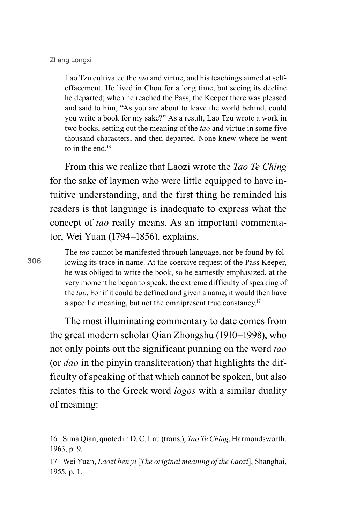Lao Tzu cultivated the *tao* and virtue, and his teachings aimed at selfeffacement. He lived in Chou for a long time, but seeing its decline he departed; when he reached the Pass, the Keeper there was pleased and said to him, "As you are about to leave the world behind, could you write a book for my sake?" As a result, Lao Tzu wrote a work in two books, setting out the meaning of the *tao* and virtue in some five thousand characters, and then departed. None knew where he went to in the end  $16$ 

From this we realize that Laozi wrote the *Tao Te Ching* for the sake of laymen who were little equipped to have intuitive understanding, and the first thing he reminded his readers is that language is inadequate to express what the concept of *tao* really means. As an important commentator, Wei Yuan (1794–1856), explains,

306

The *tao* cannot be manifested through language, nor be found by following its trace in name. At the coercive request of the Pass Keeper, he was obliged to write the book, so he earnestly emphasized, at the very moment he began to speak, the extreme difficulty of speaking of the *tao*. For if it could be defined and given a name, it would then have a specific meaning, but not the omnipresent true constancy.17

The most illuminating commentary to date comes from the great modern scholar Qian Zhongshu (1910–1998), who not only points out the significant punning on the word *tao* (or *dao* in the pinyin transliteration) that highlights the difficulty of speaking of that which cannot be spoken, but also relates this to the Greek word *logos* with a similar duality of meaning:

<sup>16</sup> Sima Qian, quoted in D. C. Lau (trans.), *Tao Te Ching*, Harmondsworth, 1963, p. 9.

<sup>17</sup> Wei Yuan, *Laozi ben yi* [*The original meaning of the Laozi*], Shanghai, 1955, p. 1.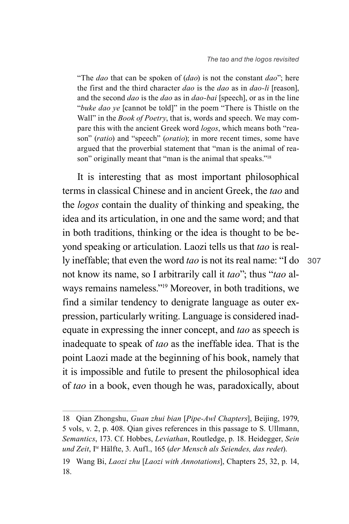"The *dao* that can be spoken of (*dao*) is not the constant *dao*"; here the first and the third character *dao* is the *dao* as in *dao-li* [reason], and the second *dao* is the *dao* as in *dao-bai* [speech], or as in the line "*buke dao ye* [cannot be told]" in the poem "There is Thistle on the Wall" in the *Book of Poetry*, that is, words and speech. We may compare this with the ancient Greek word *logos*, which means both "reason" (*ratio*) and "speech" (*oratio*); in more recent times, some have argued that the proverbial statement that "man is the animal of reason" originally meant that "man is the animal that speaks."<sup>18</sup>

It is interesting that as most important philosophical terms in classical Chinese and in ancient Greek, the *tao* and the *logos* contain the duality of thinking and speaking, the idea and its articulation, in one and the same word; and that in both traditions, thinking or the idea is thought to be beyond speaking or articulation. Laozi tells us that *tao* is really ineffable; that even the word *tao* is not its real name: "I do not know its name, so I arbitrarily call it *tao*"; thus "*tao* always remains nameless."19 Moreover, in both traditions, we find a similar tendency to denigrate language as outer expression, particularly writing. Language is considered inadequate in expressing the inner concept, and *tao* as speech is inadequate to speak of *tao* as the ineffable idea. That is the point Laozi made at the beginning of his book, namely that it is impossible and futile to present the philosophical idea of *tao* in a book, even though he was, paradoxically, about

<sup>18</sup> Qian Zhongshu, *Guan zhui bian* [*Pipe-Awl Chapters*], Beijing, 1979, 5 vols, v. 2, p. 408. Qian gives references in this passage to S. Ullmann, *Semantics*, 173. Cf. Hobbes, *Leviathan*, Routledge, p. 18. Heidegger, *Sein und Zeit*, Ite Hälfte, 3. Aufl., 165 (*der Mensch als Seiendes, das redet*).

<sup>19</sup> Wang Bi, *Laozi zhu* [*Laozi with Annotations*], Chapters 25, 32, p. 14, 18.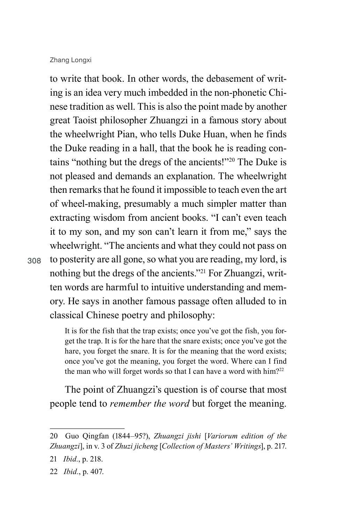308

to write that book. In other words, the debasement of writing is an idea very much imbedded in the non-phonetic Chinese tradition as well. This is also the point made by another great Taoist philosopher Zhuangzi in a famous story about the wheelwright Pian, who tells Duke Huan, when he finds the Duke reading in a hall, that the book he is reading contains "nothing but the dregs of the ancients!"20 The Duke is not pleased and demands an explanation. The wheelwright then remarks that he found it impossible to teach even the art of wheel-making, presumably a much simpler matter than extracting wisdom from ancient books. "I can't even teach it to my son, and my son can't learn it from me," says the wheelwright. "The ancients and what they could not pass on to posterity are all gone, so what you are reading, my lord, is nothing but the dregs of the ancients."21 For Zhuangzi, written words are harmful to intuitive understanding and memory. He says in another famous passage often alluded to in classical Chinese poetry and philosophy:

It is for the fish that the trap exists; once you've got the fish, you forget the trap. It is for the hare that the snare exists; once you've got the hare, you forget the snare. It is for the meaning that the word exists; once you've got the meaning, you forget the word. Where can I find the man who will forget words so that I can have a word with him?<sup>22</sup>

The point of Zhuangzi's question is of course that most people tend to *remember the word* but forget the meaning.

<sup>20</sup> Guo Qingfan (1844–95?), *Zhuangzi jishi* [*Variorum edition of the Zhuangzi*], in v. 3 of *Zhuzi jicheng* [*Collection of Masters' Writings*], p. 217.

<sup>21</sup> *Ibid.*, p. 218.

<sup>22</sup> *Ibid.*, p. 407.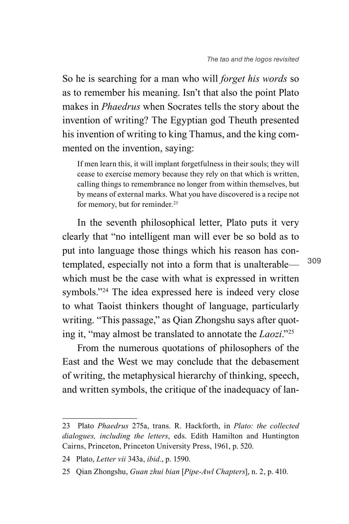So he is searching for a man who will *forget his words* so as to remember his meaning. Isn't that also the point Plato makes in *Phaedrus* when Socrates tells the story about the invention of writing? The Egyptian god Theuth presented his invention of writing to king Thamus, and the king commented on the invention, saying:

If men learn this, it will implant forgetfulness in their souls; they will cease to exercise memory because they rely on that which is written, calling things to remembrance no longer from within themselves, but by means of external marks. What you have discovered is a recipe not for memory, but for reminder.<sup>23</sup>

In the seventh philosophical letter, Plato puts it very clearly that "no intelligent man will ever be so bold as to put into language those things which his reason has contemplated, especially not into a form that is unalterable which must be the case with what is expressed in written symbols."<sup>24</sup> The idea expressed here is indeed very close to what Taoist thinkers thought of language, particularly writing. "This passage," as Qian Zhongshu says after quoting it, "may almost be translated to annotate the *Laozi*."25

From the numerous quotations of philosophers of the East and the West we may conclude that the debasement of writing, the metaphysical hierarchy of thinking, speech, and written symbols, the critique of the inadequacy of lan-

<sup>23</sup> Plato *Phaedrus* 275a, trans. R. Hackforth, in *Plato: the collected dialogues, including the letters*, eds. Edith Hamilton and Huntington Cairns, Princeton, Princeton University Press, 1961, p. 520.

<sup>24</sup> Plato, *Letter vii* 343a, *ibid.*, p. 1590.

<sup>25</sup> Qian Zhongshu, *Guan zhui bian* [*Pipe-Awl Chapters*], n. 2, p. 410.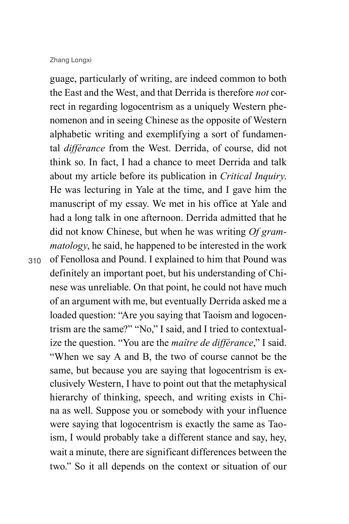guage, particularly of writing, are indeed common to both the East and the West, and that Derrida is therefore *not* correct in regarding logocentrism as a uniquely Western phenomenon and in seeing Chinese as the opposite of Western alphabetic writing and exemplifying a sort of fundamental *différance* from the West. Derrida, of course, did not think so. In fact, I had a chance to meet Derrida and talk about my article before its publication in *Critical Inquiry*. He was lecturing in Yale at the time, and I gave him the manuscript of my essay. We met in his office at Yale and had a long talk in one afternoon. Derrida admitted that he did not know Chinese, but when he was writing *Of grammatology*, he said, he happened to be interested in the work of Fenollosa and Pound. I explained to him that Pound was definitely an important poet, but his understanding of Chinese was unreliable. On that point, he could not have much of an argument with me, but eventually Derrida asked me a loaded question: "Are you saying that Taoism and logocentrism are the same?" "No," I said, and I tried to contextualize the question. "You are the *maître de différance*," I said. "When we say A and B, the two of course cannot be the same, but because you are saying that logocentrism is exclusively Western, I have to point out that the metaphysical hierarchy of thinking, speech, and writing exists in China as well. Suppose you or somebody with your influence were saying that logocentrism is exactly the same as Taoism, I would probably take a different stance and say, hey, wait a minute, there are significant differences between the two." So it all depends on the context or situation of our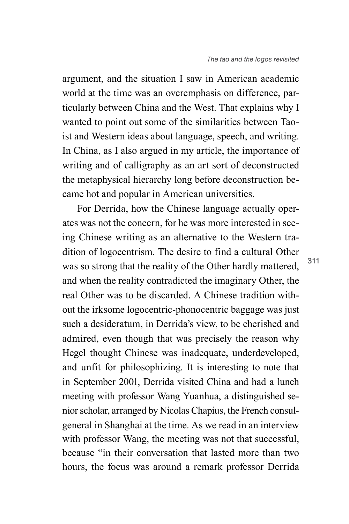argument, and the situation I saw in American academic world at the time was an overemphasis on difference, particularly between China and the West. That explains why I wanted to point out some of the similarities between Taoist and Western ideas about language, speech, and writing. In China, as I also argued in my article, the importance of writing and of calligraphy as an art sort of deconstructed the metaphysical hierarchy long before deconstruction became hot and popular in American universities.

For Derrida, how the Chinese language actually operates was not the concern, for he was more interested in seeing Chinese writing as an alternative to the Western tradition of logocentrism. The desire to find a cultural Other was so strong that the reality of the Other hardly mattered, and when the reality contradicted the imaginary Other, the real Other was to be discarded. A Chinese tradition without the irksome logocentric-phonocentric baggage was just such a desideratum, in Derrida's view, to be cherished and admired, even though that was precisely the reason why Hegel thought Chinese was inadequate, underdeveloped, and unfit for philosophizing. It is interesting to note that in September 2001, Derrida visited China and had a lunch meeting with professor Wang Yuanhua, a distinguished senior scholar, arranged by Nicolas Chapius, the French consulgeneral in Shanghai at the time. As we read in an interview with professor Wang, the meeting was not that successful, because "in their conversation that lasted more than two hours, the focus was around a remark professor Derrida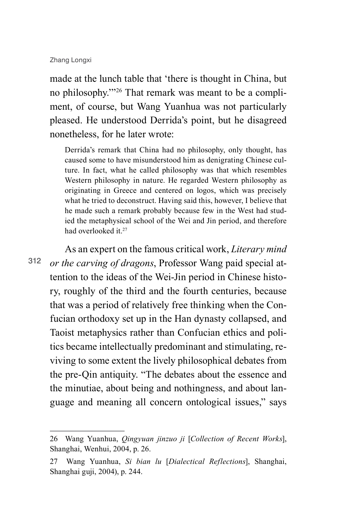made at the lunch table that 'there is thought in China, but no philosophy.'"26 That remark was meant to be a compliment, of course, but Wang Yuanhua was not particularly pleased. He understood Derrida's point, but he disagreed nonetheless, for he later wrote:

Derrida's remark that China had no philosophy, only thought, has caused some to have misunderstood him as denigrating Chinese culture. In fact, what he called philosophy was that which resembles Western philosophy in nature. He regarded Western philosophy as originating in Greece and centered on logos, which was precisely what he tried to deconstruct. Having said this, however, I believe that he made such a remark probably because few in the West had studied the metaphysical school of the Wei and Jin period, and therefore had overlooked it<sup>27</sup>

312 As an expert on the famous critical work, *Literary mind or the carving of dragons*, Professor Wang paid special attention to the ideas of the Wei-Jin period in Chinese history, roughly of the third and the fourth centuries, because that was a period of relatively free thinking when the Confucian orthodoxy set up in the Han dynasty collapsed, and Taoist metaphysics rather than Confucian ethics and politics became intellectually predominant and stimulating, reviving to some extent the lively philosophical debates from the pre-Qin antiquity. "The debates about the essence and the minutiae, about being and nothingness, and about language and meaning all concern ontological issues," says

<sup>26</sup> Wang Yuanhua, *Qingyuan jinzuo ji* [*Collection of Recent Works*], Shanghai, Wenhui, 2004, p. 26.

<sup>27</sup> Wang Yuanhua, *Si bian lu* [*Dialectical Reflections*], Shanghai, Shanghai guji, 2004), p. 244.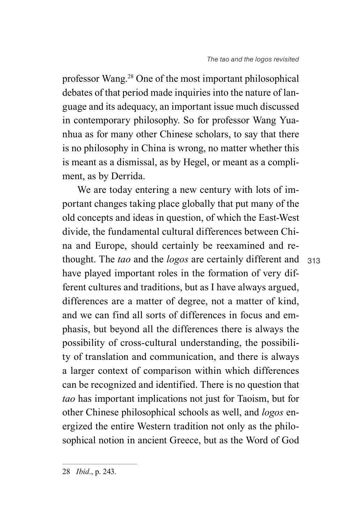professor Wang.28 One of the most important philosophical debates of that period made inquiries into the nature of language and its adequacy, an important issue much discussed in contemporary philosophy. So for professor Wang Yuanhua as for many other Chinese scholars, to say that there is no philosophy in China is wrong, no matter whether this is meant as a dismissal, as by Hegel, or meant as a compliment, as by Derrida.

313 thought. The *tao* and the *logos* are certainly different and We are today entering a new century with lots of important changes taking place globally that put many of the old concepts and ideas in question, of which the East-West divide, the fundamental cultural differences between China and Europe, should certainly be reexamined and rehave played important roles in the formation of very different cultures and traditions, but as I have always argued, differences are a matter of degree, not a matter of kind, and we can find all sorts of differences in focus and emphasis, but beyond all the differences there is always the possibility of cross-cultural understanding, the possibility of translation and communication, and there is always a larger context of comparison within which differences can be recognized and identified. There is no question that *tao* has important implications not just for Taoism, but for other Chinese philosophical schools as well, and *logos* energized the entire Western tradition not only as the philosophical notion in ancient Greece, but as the Word of God

<sup>28</sup> *Ibid.*, p. 243.